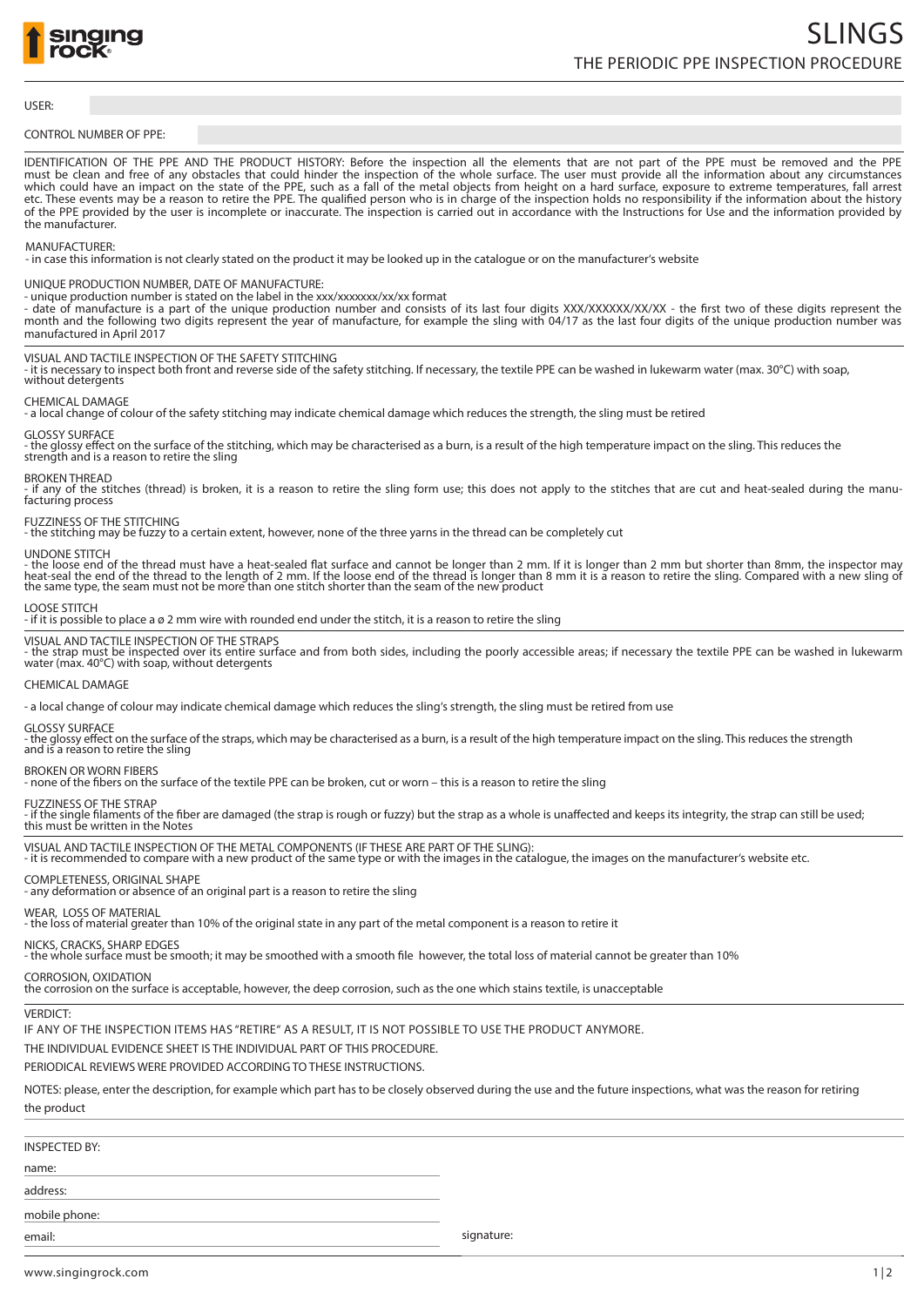

#### USER:

#### CONTROL NUMBER OF PPE:

IDENTIFICATION OF THE PPE AND THE PRODUCT HISTORY: Before the inspection all the elements that are not part of the PPE must be removed and the PPE must be clean and free of any obstacles that could hinder the inspection of the whole surface. The user must provide all the information about any circumstances which could have an impact on the state of the PPE, such as a fall of the metal objects from height on a hard surface, exposure to extreme temperatures, fall arrest etc. These events may be a reason to retire the PPE. The qualified person who is in charge of the inspection holds no responsibility if the information about the history of the PPE provided by the user is incomplete or inaccurate. The inspection is carried out in accordance with the Instructions for Use and the information provided by the manufacturer.

#### MANUFACTURER:

- in case this information is not clearly stated on the product it may be looked up in the catalogue or on the manufacturer's website

#### UNIQUE PRODUCTION NUMBER, DATE OF MANUFACTURE:

- unique production number is stated on the label in the xxx/xxxxxxx/xx/xx format

- date of manufacture is a part of the unique production number and consists of its last four digits XXX/XXXXXXXXXXX - the first two of these digits represent the month and the following two digits represent the year of manufacture, for example the sling with 04/17 as the last four digits of the unique production number was manufactured in April 2017

#### VISUAL AND TACTILE INSPECTION OF THE SAFETY STITCHING

- it is necessary to inspect both front and reverse side of the safety stitching. If necessary, the textile PPE can be washed in lukewarm water (max. 30°C) with soap, without detergents

#### CHEMICAL DAMAGE

- a local change of colour of the safety stitching may indicate chemical damage which reduces the strength, the sling must be retired

## GLOSSY SURFACE

- the glossy effect on the surface of the stitching, which may be characterised as a burn, is a result of the high temperature impact on the sling. This reduces the strength and is a reason to retire the sling

#### BROKEN THREAD

- if any of the stitches (thread) is broken, it is a reason to retire the sling form use; this does not apply to the stitches that are cut and heat-sealed during the manu-<br>facturing process

# FUZZINESS OF THE STITCHING

- the stitching may be fuzzy to a certain extent, however, none of the three yarns in the thread can be completely cut

UNDONE STITCH

- the loose end of the thread must have a heat-sealed flat surface and cannot be longer than 2 mm. If it is longer than 2 mm but shorter than 8mm, the inspector may<br>heat-seal the end of the thread to the length of 2 mm. If

#### LOOSE STITCH

- if it is possible to place a ø 2 mm wire with rounded end under the stitch, it is a reason to retire the sling

#### VISUAL AND TACTILE INSPECTION OF THE STRAPS

- the strap must be inspected over its entire surface and from both sides, including the poorly accessible areas; if necessary the textile PPE can be washed in lukewarm water (max. 40°C) with soap, without detergents

### CHEMICAL DAMAGE

- a local change of colour may indicate chemical damage which reduces the sling's strength, the sling must be retired from use

#### GLOSSY SURFACE

- the glossy effect on the surface of the straps, which may be characterised as a burn, is a result of the high temperature impact on the sling. This reduces the strength and is a reason to retire the sling

# BROKEN OR WORN FIBERS

none of the fibers on the surface of the textile PPE can be broken, cut or worn – this is a reason to retire the sling

FUZZINESS OF THE STRAP<br>- if the single filaments of the fiber are damaged (the strap is rough or fuzzy) but the strap as a whole is unaffected and keeps its integrity, the strap can still be used;

# this must be written in the Notes

VISUAL AND TACTILE INSPECTION OF THE METAL COMPONENTS (IF THESE ARE PART OF THE SLING): - it is recommended to compare with a new product of the same type or with the images in the catalogue, the images on the manufacturer's website etc.

#### COMPLETENESS, ORIGINAL SHAPE

- any deformation or absence of an original part is a reason to retire the sling

#### WEAR, LOSS OF MATERIAL

- the loss of material greater than 10% of the original state in any part of the metal component is a reason to retire it

#### NICKS, CRACKS, SHARP EDGES

- the whole surface must be smooth; it may be smoothed with a smooth file however, the total loss of material cannot be greater than 10%

#### CORROSION, OXIDATION

the corrosion on the surface is acceptable, however, the deep corrosion, such as the one which stains textile, is unacceptable

#### VERDICT:

IF ANY OF THE INSPECTION ITEMS HAS "RETIRE" AS A RESULT, IT IS NOT POSSIBLE TO USE THE PRODUCT ANYMORE.

#### THE INDIVIDUAL EVIDENCE SHEET IS THE INDIVIDUAL PART OF THIS PROCEDURE.

PERIODICAL REVIEWS WERE PROVIDED ACCORDING TO THESE INSTRUCTIONS.

NOTES: please, enter the description, for example which part has to be closely observed during the use and the future inspections, what was the reason for retiring the product

| <b>INSPECTED BY:</b> |            |
|----------------------|------------|
| name:                |            |
| address:             |            |
| mobile phone:        |            |
| email:               | signature: |